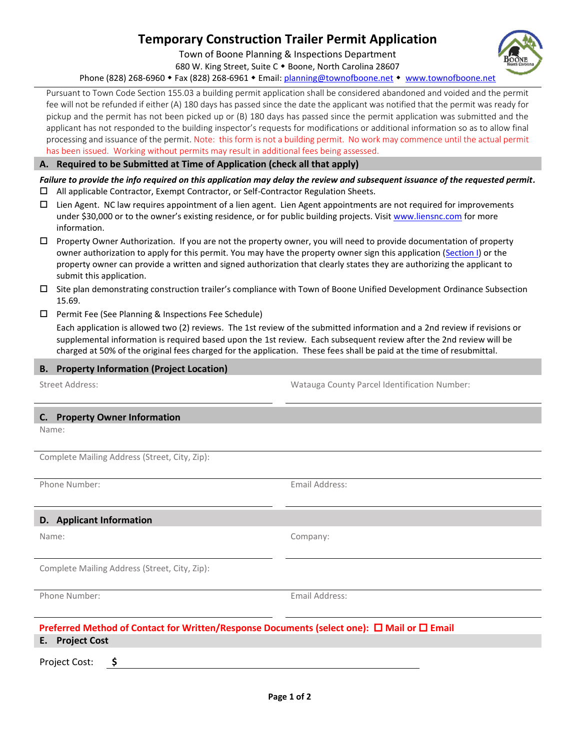# **Temporary Construction Trailer Permit Application**

Town of Boone Planning & Inspections Department

680 W. King Street, Suite C . Boone, North Carolina 28607

Phone (828) 268-6960 • Fax (828) 268-6961 • Email: [planning@townofboone.net](mailto:planning@townofboone.net) • [www.townofboone.net](http://www.townofboone.net/)

Pursuant to Town Code Section 155.03 a building permit application shall be considered abandoned and voided and the permit fee will not be refunded if either (A) 180 days has passed since the date the applicant was notified that the permit was ready for pickup and the permit has not been picked up or (B) 180 days has passed since the permit application was submitted and the applicant has not responded to the building inspector's requests for modifications or additional information so as to allow final processing and issuance of the permit. Note: this form is not a building permit. No work may commence until the actual permit has been issued. Working without permits may result in additional fees being assessed.

#### **A. Required to be Submitted at Time of Application (check all that apply)**

# *Failure to provide the info required on this application may delay the review and subsequent issuance of the requested permit.*

- All applicable Contractor, Exempt Contractor, or Self-Contractor Regulation Sheets.
- $\Box$  Lien Agent. NC law requires appointment of a lien agent. Lien Agent appointments are not required for improvements under \$30,000 or to the owner's existing residence, or for public building projects. Visi[t www.liensnc.com](http://www.liensnc.com/) for more information.
- $\Box$  Property Owner Authorization. If you are not the property owner, you will need to provide documentation of property owner authorization to apply for this permit. You may have the property owner sign this application [\(Section I\)](#page-1-0) or the property owner can provide a written and signed authorization that clearly states they are authorizing the applicant to submit this application.
- $\square$  Site plan demonstrating construction trailer's compliance with Town of Boone Unified Development Ordinance Subsection 15.69.
- $\Box$  Permit Fee (See Planning & Inspections Fee Schedule)

Each application is allowed two (2) reviews. The 1st review of the submitted information and a 2nd review if revisions or supplemental information is required based upon the 1st review. Each subsequent review after the 2nd review will be charged at 50% of the original fees charged for the application. These fees shall be paid at the time of resubmittal.

## **B. Property Information (Project Location)**

Street Address: Watauga County Parcel Identification Number:

#### **C. Property Owner Information**

Name:

Complete Mailing Address (Street, City, Zip):

Phone Number: The Communication of the Communication of the Email Address:

## **D. Applicant Information**

Complete Mailing Address (Street, City, Zip):

Phone Number: Email Address:

Name: Company:

# **Preferred Method of Contact for Written/Response Documents (select one): □ Mail or □ Email**

**E. Project Cost**

Project Cost: **\$**